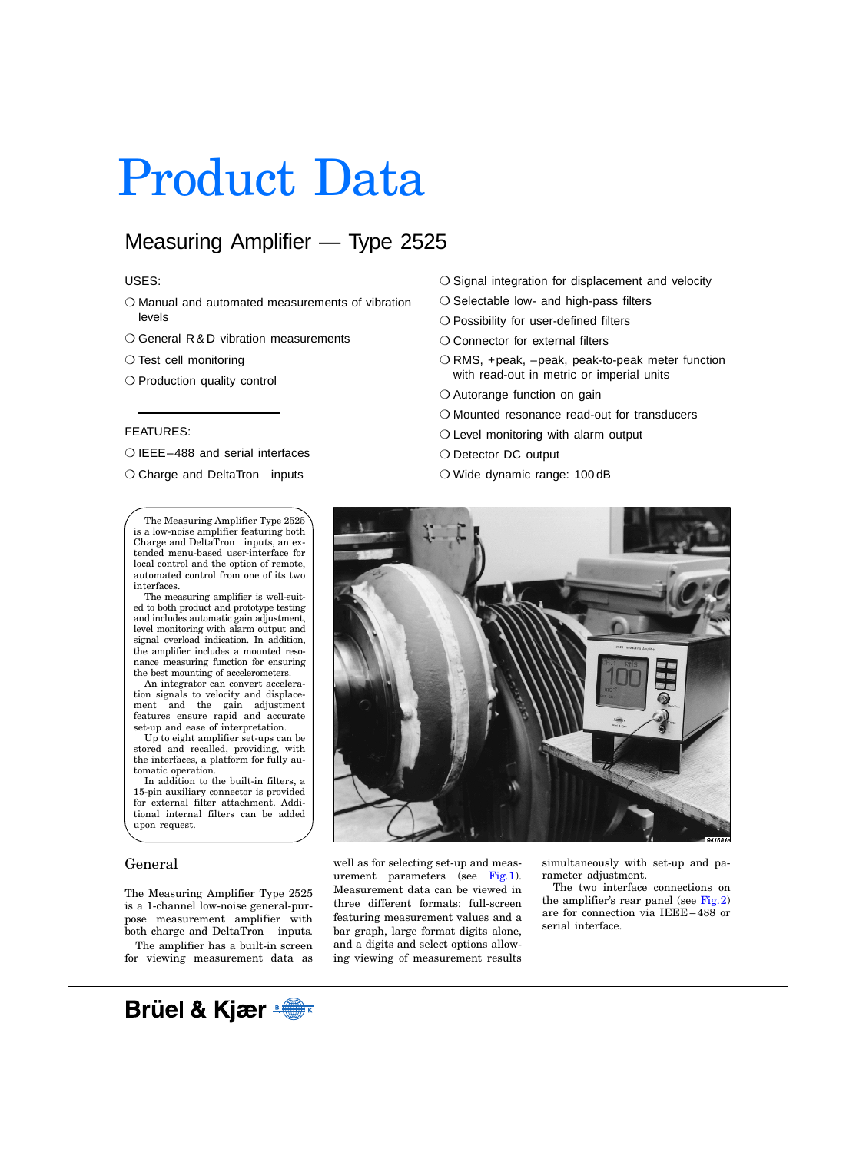# Product Data

# Measuring Amplifier — Type 2525

# USES:

- ❍ Manual and automated measurements of vibration levels
- ❍ General R & D vibration measurements
- ❍ Test cell monitoring
- ❍ Production quality control

# FEATURES:

- ❍ IEEE–488 and serial interfaces
- $\bigcirc$  Charge and DeltaTron<sup>®</sup> inputs

The Measuring Amplifier Type 2525 is a low-noise amplifier featuring both  $\frac{1}{2}$ Charge and DeltaTron<sup>®</sup> inputs, an extended menu-based user-interface for local control and the option of remote, automated control from one of its two interfaces.

The measuring amplifier is well-suited to both product and prototype testing and includes automatic gain adjustment, level monitoring with alarm output and signal overload indication. In addition, the amplifier includes a mounted resonance measuring function for ensuring the best mounting of accelerometers.

An integrator can convert acceleration signals to velocity and displacement and the gain adjustment features ensure rapid and accurate set-up and ease of interpretation.

Up to eight amplifier set-ups can be stored and recalled, providing, with the interfaces, a platform for fully automatic operation.

In addition to the built-in filters, a 15-pin auxiliary connector is provided for external filter attachment. Additional internal filters can be added upon request.

# General

The Measuring Amplifier Type 2525 is a 1-channel low-noise general-purpose measurement amplifier with both charge and DeltaTron<sup> $M$ </sup> inputs.

The amplifier has a built-in screen for viewing measurement data as

- O Signal integration for displacement and velocity
- ❍ Selectable low- and high-pass filters
- ❍ Possibility for user-defined filters
- O Connector for external filters
- ❍ RMS, +peak, –peak, peak-to-peak meter function with read-out in metric or imperial units
- ❍ Autorange function on gain
- ❍ Mounted resonance read-out for transducers
- ❍ Level monitoring with alarm output
- O Detector DC output
- ❍ Wide dynamic range: 100 dB



well as for selecting set-up and measurement parameters (see  $Fig. 1$ ). Measurement data can be viewed in three different formats: full-screen featuring measurement values and a bar graph, large format digits alone, and a digits and select options allowing viewing of measurement results simultaneously with set-up and parameter adjustment.

The two interface connections on the amplifier's rear panel (see  $Fig. 2$ ) are for connection via IEEE – 488 or serial interface.

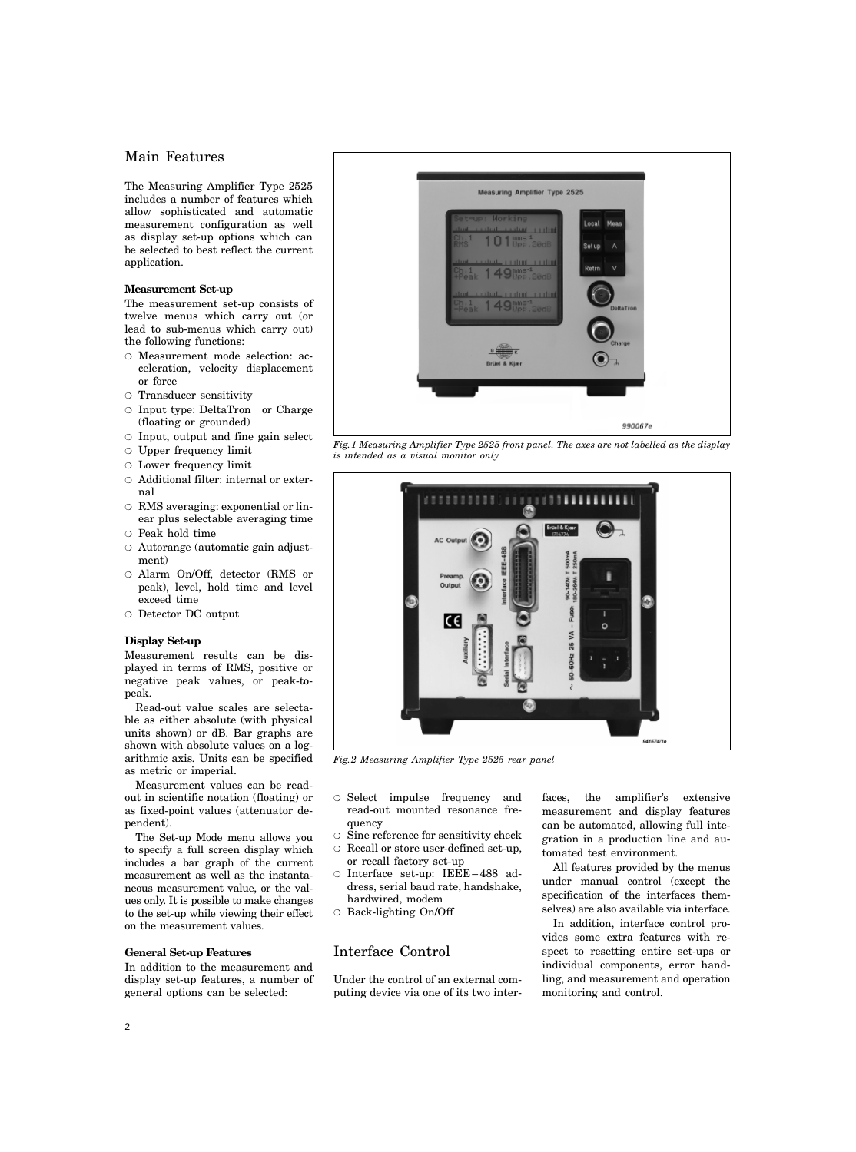# Main Features

The Measuring Amplifier Type 2525 includes a number of features which allow sophisticated and automatic measurement configuration as well as display set-up options which can be selected to best reflect the current application.

# **Measurement Set-up**

The measurement set-up consists of twelve menus which carry out (or lead to sub-menus which carry out) the following functions:

- ❍ Measurement mode selection: acceleration, velocity displacement or force
- ❍ Transducer sensitivity
- $\circ$  Input type: DeltaTron<sup>®</sup> or Charge (floating or grounded)
- ❍ Input, output and fine gain select
- ❍ Upper frequency limit
- ❍ Lower frequency limit
- ❍ Additional filter: internal or external
- ❍ RMS averaging: exponential or linear plus selectable averaging time
- ❍ Peak hold time
- ❍ Autorange (automatic gain adjustment)
- ❍ Alarm On/Off, detector (RMS or peak), level, hold time and level exceed time
- ❍ Detector DC output

## **Display Set-up**

Measurement results can be displayed in terms of RMS, positive or negative peak values, or peak-topeak.

Read-out value scales are selectable as either absolute (with physical units shown) or dB. Bar graphs are shown with absolute values on a logarithmic axis. Units can be specified as metric or imperial.

Measurement values can be readout in scientific notation (floating) or as fixed-point values (attenuator dependent).

The Set-up Mode menu allows you to specify a full screen display which includes a bar graph of the current measurement as well as the instantaneous measurement value, or the values only. It is possible to make changes to the set-up while viewing their effect on the measurement values.

## **General Set-up Features**

In addition to the measurement and display set-up features, a number of general options can be selected:



<span id="page-1-0"></span>*Fig.1 Measuring Amplifier Type 2525 front panel. The axes are not labelled as the display is intended as a visual monitor only*



*Fig.2 Measuring Amplifier Type 2525 rear panel*

- <span id="page-1-1"></span>❍ Select impulse frequency and read-out mounted resonance frequency
- ❍ Sine reference for sensitivity check
- ❍ Recall or store user-defined set-up, or recall factory set-up
- ❍ Interface set-up: IEEE 488 address, serial baud rate, handshake, hardwired, modem
- ❍ Back-lighting On/Off

# Interface Control

Under the control of an external computing device via one of its two interfaces, the amplifier's extensive measurement and display features can be automated, allowing full integration in a production line and automated test environment.

All features provided by the menus under manual control (except the specification of the interfaces themselves) are also available via interface.

In addition, interface control provides some extra features with respect to resetting entire set-ups or individual components, error handling, and measurement and operation monitoring and control.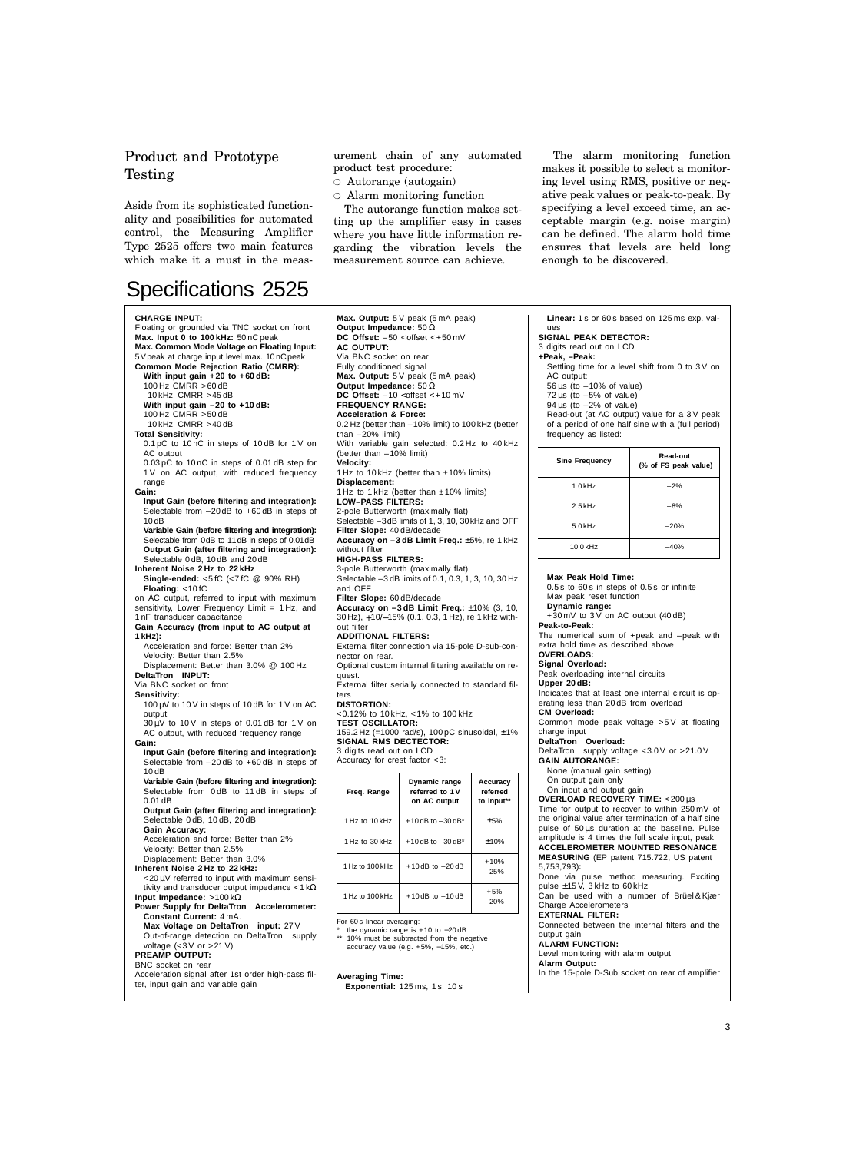# Product and Prototype Testing

Aside from its sophisticated functionality and possibilities for automated control, the Measuring Amplifier Type 2525 offers two main features which make it a must in the meas-

# Specifications 2525

#### **CHARGE INPUT:**

Floating or grounded via TNC socket on front **Max. Input 0 to 100 kHz:** 50 nC peak **Max. Common Mode Voltage on Floating Input:** 5Vpeak at charge input level max. 10nCpeak **Common Mode Rejection Ratio (CMRR): With input gain +20 to +60 dB:** 100 Hz CMRR >60 dB 10 kHz CMRR >45 dB **With input gain –20 to +10 dB:** 100 Hz CMRR >50 dB 10 kHz CMRR >40 dB **Total Sensitivity:** 0.1 pC to 10 nC in steps of 10 dB for 1 V on AC output 0.03 pC to 10 nC in steps of 0.01 dB step for 1 V on AC output, with reduced frequency range **Gain: Input Gain (before filtering and integration):** Selectable from –20 dB to +60 dB in steps of 10 dB **Variable Gain (before filtering and integration):** Selectable from 0dB to 11dB in steps of 0.01dB **Output Gain (after filtering and integration):** Selectable 0 dB, 10 dB and 20 dB **Inherent Noise 2 Hz to 22 kHz Single-ended:** <5 fC (<7 fC @ 90% RH) **Floating:** <10 fC on AC output, referred to input with maximum sensitivity, Lower Frequency Limit = 1 Hz, and 1 nF transducer capacitance **Gain Accuracy (from input to AC output at 1 kHz):**  Acceleration and force: Better than 2% Velocity: Better than 2.5% Displacement: Better than 3.0% @ 100 Hz **DeltaTron INPUT:** Via BNC socket on front **Sensitivity:** 100 µV to 10 V in steps of 10 dB for 1 V on AC output  $30 \mu$ V to 10 V in steps of 0.01 dB for 1 V on AC output, with reduced frequency range **Gain: Input Gain (before filtering and integration):** Selectable from –20 dB to +60 dB in steps of 10 dB **Variable Gain (before filtering and integration):** Selectable from 0 dB to 11 dB in steps of 0.01 dB **Output Gain (after filtering and integration):** Selectable 0 dB, 10 dB, 20 dB **Gain Accuracy:** Acceleration and force: Better than 2% Velocity: Better than 2.5% Displacement: Better than 3.0% **Inherent Noise 2 Hz to 22 kHz:** <20 µV referred to input with maximum sensitivity and transducer output impedance  $<$  1 k $\Omega$ **Input Impedance:** >100 kΩ Power Supply for DeltaTron<sup>®</sup> Accelerometer: **Constant Current:** 4 mA. **Max Voltage on DeltaTron<sup>®</sup> input: 27 V** Out-of-range detection on DeltaTron<sup>®</sup> supply voltage (<3 V or >21 V) **PREAMP OUTPUT:** BNC socket on rear Acceleration signal after 1st order high-pass filter, input gain and variable gain

urement chain of any automated product test procedure:

- ❍ Autorange (autogain)
- ❍ Alarm monitoring function

The autorange function makes setting up the amplifier easy in cases where you have little information regarding the vibration levels the measurement source can achieve.

The alarm monitoring function makes it possible to select a monitoring level using RMS, positive or negative peak values or peak-to-peak. By specifying a level exceed time, an acceptable margin (e.g. noise margin) can be defined. The alarm hold time ensures that levels are held long enough to be discovered.

**Max. Output:** 5 V peak (5 mA peak) **Output Impedance:** 50 Ω **DC Offset:**  $-50$  <offset <+50 mV **AC OUTPUT:** Via BNC socket on rear Fully conditioned signal **Max. Output:** 5 V peak (5 mA peak) **Output Impedance:** 50 Ω **DC Offset:**  $-10 <$ offset <+10 mV **FREQUENCY RANGE: Acceleration & Force:** 0.2 Hz (better than –10% limit) to 100 kHz (better than  $-20\%$  limit) With variable gain selected: 0.2 Hz to 40 kHz (better than –10% limit) **Velocity:** 1 Hz to 10 kHz (better than ±10% limits) **Displacement:** 1 Hz to 1 kHz (better than ±10% limits) **LOW–PASS FILTERS:** 2-pole Butterworth (maximally flat) Selectable -3dB limits of 1, 3, 10, 30 kHz and OFF **Filter Slope:** 40 dB/decade **Accuracy on –3 dB Limit Freq.:** ±5%, re 1 kHz without filter **HIGH-PASS FILTERS:** 3-pole Butterworth (maximally flat) Selectable –3 dB limits of 0.1, 0.3, 1, 3, 10, 30 Hz and OFF **Filter Slope:** 60 dB/decade **Accuracy on –3 dB Limit Freq.:** ±10% (3, 10, 30 Hz), +10/−15% (0.1, 0.3, 1 Hz), re 1 kHz without filter **ADDITIONAL FILTERS:** External filter connection via 15-pole D-sub-connector on rear. Optional custom internal filtering available on request. External filter serially connected to standard filters **DISTORTION:** <0.12% to 10 kHz, <1% to 100 kHz **TEST OSCILLATOR:** 159.2 Hz (=1000 rad/s), 100 pC sinusoidal, ±1% **SIGNAL RMS DECTECTOR:** 3 digits read out on LCD Accuracy for crest factor <3: **Freq. Range Dynamic range referred to 1 V on AC output Accuracy referred to input\*\*** 1 Hz to 10 kHz  $+10$  dB to  $-30$  dB\*  $+5\%$ 1 Hz to 30 kHz  $+10$  dB to  $-30$  dB\*  $\pm 10\%$  $1 \text{ Hz}$  to  $100 \text{ kHz}$  +10 dB to  $-20 \text{ dB}$  +10%

For 60 s linear averaging:

\* the dynamic range is +10 to −20 dB \*\* 10% must be subtracted from the negative accuracy value (e.g. +5%, −15%, etc.)

 $1 Hz$  to 100 kHz +10 dB to  $-10$  dB +5%

–25%

–20%

**Averaging Time:**

```
Exponential: 125 ms, 1 s, 10 s
```
**Linear:** 1 s or 60 s based on 125 ms exp. values

**SIGNAL PEAK DETECTOR:** 3 digits read out on LCD

### **+Peak, –Peak:**

Settling time for a level shift from 0 to 3 V on AC output:

- 56 µs (to –10% of value)
- $20 \mu s$  (to  $-5\%$  of value)
- $94 \text{ us }$  (to  $-2\%$  of value)

Read-out (at AC output) value for a 3 V peak of a period of one half sine with a (full period) frequency as listed:

| <b>Sine Frequency</b> | Read-out<br>(% of FS peak value) |  |  |
|-----------------------|----------------------------------|--|--|
| $1.0$ kHz             | $-2%$                            |  |  |
| $2.5$ kHz             | $-8%$                            |  |  |
| $5.0$ kHz             | $-20%$                           |  |  |
| $10.0$ kHz            | $-40%$                           |  |  |

#### **Max Peak Hold Time:**

0.5 s to 60 s in steps of 0.5 s or infinite Max peak reset function

**Dynamic range:**

+30 mV to 3 V on AC output (40 dB)

## **Peak-to-Peak:**

The numerical sum of +peak and –peak with extra hold time as described above

**OVERLOADS:**

**Signal Overload:** Peak overloading internal circuits

**Upper 20 dB:**

Indicates that at least one internal circuit is operating less than 20 dB from overload **CM Overload:**

Common mode peak voltage >5 V at floating charge input

**DeltaTron<sup>®</sup> Overload:**<br>DeltaTron<sup>®</sup> supply voltage <3.0 V or >21.0 V **GAIN AUTORANGE:**

None (manual gain setting)

- On output gain only
- On input and output gain
- **OVERLOAD RECOVERY TIME:** <200 µs

Time for output to recover to within 250 mV of the original value after termination of a half sine pulse of 50 us duration at the baseline. Pulse

#### amplitude is 4 times the full scale input, peak **ACCELEROMETER MOUNTED RESONANCE**

**MEASURING** (EP patent 715.722, US patent 5,753,793)**:**

Done via pulse method measuring. Exciting pulse  $\pm 15$  V, 3 kHz to 60 kHz

Can be used with a number of Brüel & Kjær Charge Accelerometers

#### **EXTERNAL FILTER:**

Connected between the internal filters and the output gain

## **ALARM FUNCTION:**

Level monitoring with alarm output **Alarm Output:**

In the 15-pole D-Sub socket on rear of amplifier